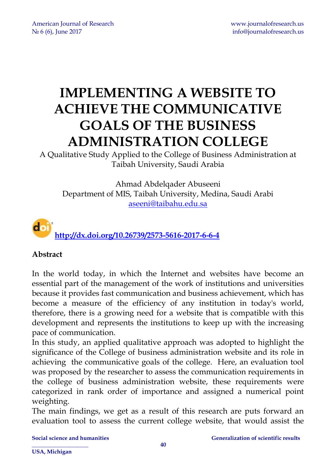# **IMPLEMENTING A WEBSITE TO ACHIEVE THE COMMUNICATIVE GOALS OF THE BUSINESS ADMINISTRATION COLLEGE**

A Qualitative Study Applied to the College of Business Administration at Taibah University, Saudi Arabia

Ahmad Abdelqader Abuseeni Department of MIS, Taibah University, Medina, Saudi Arabi [aseeni@taibahu.edu.sa](mailto:aseeni@taibahu.edu.sa)



#### **Abstract**

In the world today, in which the Internet and websites have become an essential part of the management of the work of institutions and universities because it provides fast communication and business achievement, which has become a measure of the efficiency of any institution in today's world, therefore, there is a growing need for a website that is compatible with this development and represents the institutions to keep up with the increasing pace of communication.

In this study, an applied qualitative approach was adopted to highlight the significance of the College of business administration website and its role in achieving the communicative goals of the college. Here, an evaluation tool was proposed by the researcher to assess the communication requirements in the college of business administration website, these requirements were categorized in rank order of importance and assigned a numerical point weighting.

The main findings, we get as a result of this research are puts forward an evaluation tool to assess the current college website, that would assist the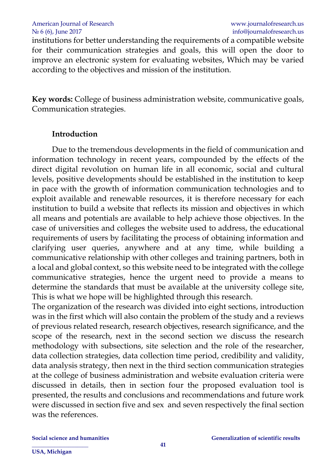#### American Journal of Research [www.journalofresearch.us](http://www.journalofresearch.us/) No 6 (6), June 2017 info@journalofresearch.us

institutions for better understanding the requirements of a compatible website for their communication strategies and goals, this will open the door to improve an electronic system for evaluating websites, Which may be varied according to the objectives and mission of the institution.

**Key words:** College of business administration website, communicative goals, Communication strategies.

#### **Introduction**

Due to the tremendous developments in the field of communication and information technology in recent years, compounded by the effects of the direct digital revolution on human life in all economic, social and cultural levels, positive developments should be established in the institution to keep in pace with the growth of information communication technologies and to exploit available and renewable resources, it is therefore necessary for each institution to build a website that reflects its mission and objectives in which all means and potentials are available to help achieve those objectives. In the case of universities and colleges the website used to address, the educational requirements of users by facilitating the process of obtaining information and clarifying user queries, anywhere and at any time, while building a communicative relationship with other colleges and training partners, both in a local and global context, so this website need to be integrated with the college communicative strategies, hence the urgent need to provide a means to determine the standards that must be available at the university college site, This is what we hope will be highlighted through this research.

The organization of the research was divided into eight sections, introduction was in the first which will also contain the problem of the study and a reviews of previous related research, research objectives, research significance, and the scope of the research, next in the second section we discuss the research methodology with subsections, site selection and the role of the researcher, data collection strategies, data collection time period, credibility and validity, data analysis strategy, then next in the third section communication strategies at the college of business administration and website evaluation criteria were discussed in details, then in section four the proposed evaluation tool is presented, the results and conclusions and recommendations and future work were discussed in section five and sex and seven respectively the final section was the references.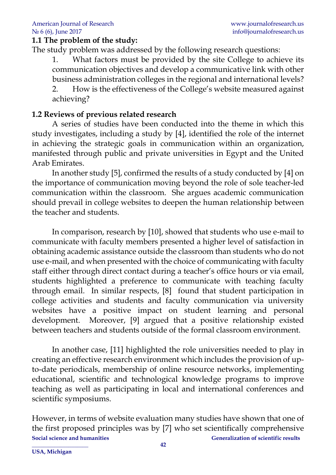#### **1.1 The problem of the study:**

The study problem was addressed by the following research questions:

1. What factors must be provided by the site College to achieve its communication objectives and develop a communicative link with other business administration colleges in the regional and international levels? 2. How is the effectiveness of the College's website measured against achieving?

#### **1.2 Reviews of previous related research**

A series of studies have been conducted into the theme in which this study investigates, including a study by [4], identified the role of the internet in achieving the strategic goals in communication within an organization, manifested through public and private universities in Egypt and the United Arab Emirates.

In another study [5], confirmed the results of a study conducted by [4] on the importance of communication moving beyond the role of sole teacher-led communication within the classroom. She argues academic communication should prevail in college websites to deepen the human relationship between the teacher and students.

In comparison, research by [10], showed that students who use e-mail to communicate with faculty members presented a higher level of satisfaction in obtaining academic assistance outside the classroom than students who do not use e-mail, and when presented with the choice of communicating with faculty staff either through direct contact during a teacher's office hours or via email, students highlighted a preference to communicate with teaching faculty through email. In similar respects, [8] found that student participation in college activities and students and faculty communication via university websites have a positive impact on student learning and personal development. Moreover, [9] argued that a positive relationship existed between teachers and students outside of the formal classroom environment.

In another case, [11] highlighted the role universities needed to play in creating an effective research environment which includes the provision of upto-date periodicals, membership of online resource networks, implementing educational, scientific and technological knowledge programs to improve teaching as well as participating in local and international conferences and scientific symposiums.

**Social science and humanities Generalization of scientific results \_\_\_\_\_\_\_\_\_\_\_\_\_\_\_\_\_\_\_\_ 42** However, in terms of website evaluation many studies have shown that one of the first proposed principles was by [7] who set scientifically comprehensive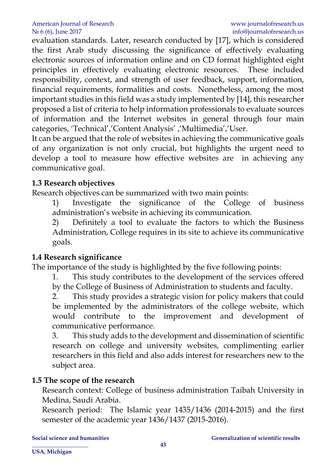evaluation standards. Later, research conducted by [17], which is considered the first Arab study discussing the significance of effectively evaluating electronic sources of information online and on CD format highlighted eight principles in effectively evaluating electronic resources. These included responsibility, context, and strength of user feedback, support, information, financial requirements, formalities and costs. Nonetheless, among the most important studies in this field was a study implemented by [14], this researcher proposed a list of criteria to help information professionals to evaluate sources of information and the Internet websites in general through four main categories, 'Technical','Content Analysis' ,'Multimedia','User.

It can be argued that the role of websites in achieving the communicative goals of any organization is not only crucial, but highlights the urgent need to develop a tool to measure how effective websites are in achieving any communicative goal.

#### **1.3 Research objectives**

Research objectives can be summarized with two main points:

1) Investigate the significance of the College of business administration's website in achieving its communication.

2) Definitely a tool to evaluate the factors to which the Business Administration, College requires in its site to achieve its communicative goals.

#### **1.4 Research significance**

The importance of the study is highlighted by the five following points:

1. This study contributes to the development of the services offered by the College of Business of Administration to students and faculty.

2. This study provides a strategic vision for policy makers that could be implemented by the administrators of the college website, which would contribute to the improvement and development of communicative performance.

3. This study adds to the development and dissemination of scientific research on college and university websites, complimenting earlier researchers in this field and also adds interest for researchers new to the subject area.

#### **1.5 The scope of the research**

Research context: College of business administration Taibah University in Medina, Saudi Arabia.

Research period: The Islamic year 1435/1436 (2014-2015) and the first semester of the academic year 1436/1437 (2015-2016).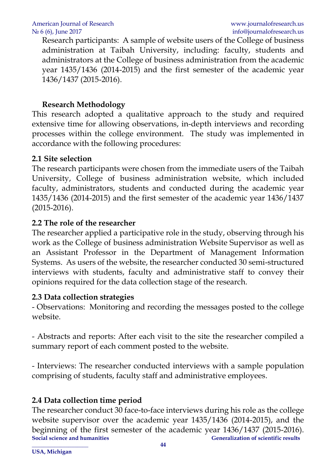Research participants: A sample of website users of the College of business administration at Taibah University, including: faculty, students and administrators at the College of business administration from the academic year 1435/1436 (2014-2015) and the first semester of the academic year 1436/1437 (2015-2016).

# **Research Methodology**

This research adopted a qualitative approach to the study and required extensive time for allowing observations, in-depth interviews and recording processes within the college environment. The study was implemented in accordance with the following procedures:

#### **2.1 Site selection**

The research participants were chosen from the immediate users of the Taibah University, College of business administration website, which included faculty, administrators, students and conducted during the academic year 1435/1436 (2014-2015) and the first semester of the academic year 1436/1437 (2015-2016).

# **2.2 The role of the researcher**

The researcher applied a participative role in the study, observing through his work as the College of business administration Website Supervisor as well as an Assistant Professor in the Department of Management Information Systems. As users of the website, the researcher conducted 30 semi-structured interviews with students, faculty and administrative staff to convey their opinions required for the data collection stage of the research.

# **2.3 Data collection strategies**

- Observations: Monitoring and recording the messages posted to the college website.

- Abstracts and reports: After each visit to the site the researcher compiled a summary report of each comment posted to the website.

- Interviews: The researcher conducted interviews with a sample population comprising of students, faculty staff and administrative employees.

# **2.4 Data collection time period**

**Social science and humanities Social science and humanities Social scientific results \_\_\_\_\_\_\_\_\_\_\_\_\_\_\_\_\_\_\_\_ 44** The researcher conduct 30 face-to-face interviews during his role as the college website supervisor over the academic year 1435/1436 (2014-2015), and the beginning of the first semester of the academic year 1436/1437 (2015-2016).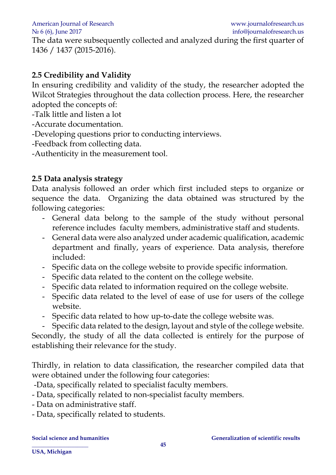American Journal of Research [www.journalofresearch.us](http://www.journalofresearch.us/)

The data were subsequently collected and analyzed during the first quarter of 1436 / 1437 (2015-2016).

# **2.5 Credibility and Validity**

In ensuring credibility and validity of the study, the researcher adopted the Wilcot Strategies throughout the data collection process. Here, the researcher adopted the concepts of:

-Talk little and listen a lot

-Accurate documentation.

-Developing questions prior to conducting interviews.

-Feedback from collecting data.

-Authenticity in the measurement tool.

#### **2.5 Data analysis strategy**

Data analysis followed an order which first included steps to organize or sequence the data. Organizing the data obtained was structured by the following categories:

- General data belong to the sample of the study without personal reference includes faculty members, administrative staff and students.
- General data were also analyzed under academic qualification, academic department and finally, years of experience. Data analysis, therefore included:
- Specific data on the college website to provide specific information.
- Specific data related to the content on the college website.
- Specific data related to information required on the college website.
- Specific data related to the level of ease of use for users of the college website.
- Specific data related to how up-to-date the college website was.

Specific data related to the design, layout and style of the college website. Secondly, the study of all the data collected is entirely for the purpose of

establishing their relevance for the study.

Thirdly, in relation to data classification, the researcher compiled data that were obtained under the following four categories:

- -Data, specifically related to specialist faculty members.
- Data, specifically related to non-specialist faculty members.
- Data on administrative staff.
- Data, specifically related to students.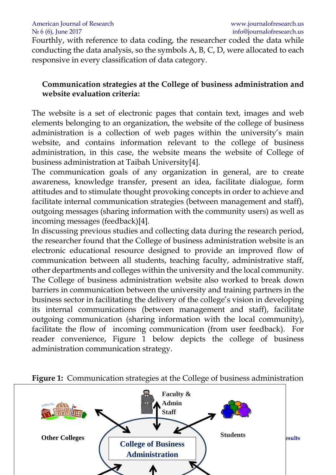American Journal of Research [www.journalofresearch.us](http://www.journalofresearch.us/) No 6 (6), June 2017 info@journalofresearch.us

Fourthly, with reference to data coding, the researcher coded the data while conducting the data analysis, so the symbols A, B, C, D, were allocated to each responsive in every classification of data category.

#### **Communication strategies at the College of business administration and website evaluation criteria:**

The website is a set of electronic pages that contain text, images and web elements belonging to an organization, the website of the college of business administration is a collection of web pages within the university's main website, and contains information relevant to the college of business administration, in this case, the website means the website of College of business administration at Taibah University[4].

The communication goals of any organization in general, are to create awareness, knowledge transfer, present an idea, facilitate dialogue, form attitudes and to stimulate thought provoking concepts in order to achieve and facilitate internal communication strategies (between management and staff), outgoing messages (sharing information with the community users) as well as incoming messages (feedback)[4].

In discussing previous studies and collecting data during the research period, the researcher found that the College of business administration website is an electronic educational resource designed to provide an improved flow of communication between all students, teaching faculty, administrative staff, other departments and colleges within the university and the local community. The College of business administration website also worked to break down barriers in communication between the university and training partners in the business sector in facilitating the delivery of the college's vision in developing its internal communications (between management and staff), facilitate outgoing communication (sharing information with the local community), facilitate the flow of incoming communication (from user feedback). For reader convenience, Figure 1 below depicts the college of business administration communication strategy.



**Figure 1:** Communication strategies at the College of business administration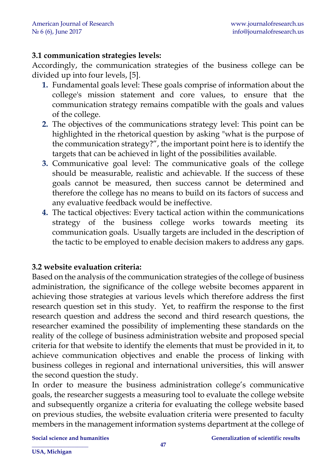#### **3.1 communication strategies levels:**

Accordingly, the communication strategies of the business college can be divided up into four levels, [5].

- **1.** Fundamental goals level: These goals comprise of information about the college's mission statement and core values, to ensure that the communication strategy remains compatible with the goals and values of the college.
- **2.** The objectives of the communications strategy level: This point can be highlighted in the rhetorical question by asking "what is the purpose of the communication strategy?", the important point here is to identify the targets that can be achieved in light of the possibilities available.
- **3.** Communicative goal level: The communicative goals of the college should be measurable, realistic and achievable. If the success of these goals cannot be measured, then success cannot be determined and therefore the college has no means to build on its factors of success and any evaluative feedback would be ineffective.
- **4.** The tactical objectives: Every tactical action within the communications strategy of the business college works towards meeting its communication goals. Usually targets are included in the description of the tactic to be employed to enable decision makers to address any gaps.

#### **3.2 website evaluation criteria:**

Based on the analysis of the communication strategies of the college of business administration, the significance of the college website becomes apparent in achieving those strategies at various levels which therefore address the first research question set in this study. Yet, to reaffirm the response to the first research question and address the second and third research questions, the researcher examined the possibility of implementing these standards on the reality of the college of business administration website and proposed special criteria for that website to identify the elements that must be provided in it, to achieve communication objectives and enable the process of linking with business colleges in regional and international universities, this will answer the second question the study.

In order to measure the business administration college's communicative goals, the researcher suggests a measuring tool to evaluate the college website and subsequently organize a criteria for evaluating the college website based on previous studies, the website evaluation criteria were presented to faculty members in the management information systems department at the college of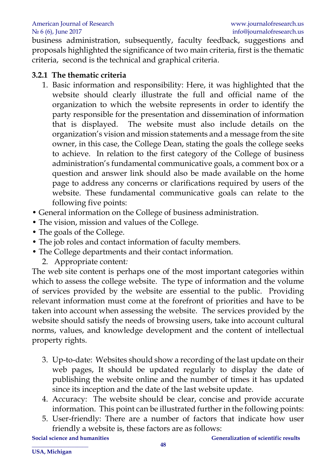business administration, subsequently, faculty feedback, suggestions and proposals highlighted the significance of two main criteria, first is the thematic criteria, second is the technical and graphical criteria.

#### **3.2.1 The thematic criteria**

- 1. Basic information and responsibility: Here, it was highlighted that the website should clearly illustrate the full and official name of the organization to which the website represents in order to identify the party responsible for the presentation and dissemination of information that is displayed. The website must also include details on the organization's vision and mission statements and a message from the site owner, in this case, the College Dean, stating the goals the college seeks to achieve. In relation to the first category of the College of business administration's fundamental communicative goals, a comment box or a question and answer link should also be made available on the home page to address any concerns or clarifications required by users of the website. These fundamental communicative goals can relate to the following five points:
- General information on the College of business administration.
- The vision, mission and values of the College.
- The goals of the College.
- The job roles and contact information of faculty members.
- The College departments and their contact information.
	- 2. Appropriate content*:*

The web site content is perhaps one of the most important categories within which to assess the college website. The type of information and the volume of services provided by the website are essential to the public. Providing relevant information must come at the forefront of priorities and have to be taken into account when assessing the website. The services provided by the website should satisfy the needs of browsing users, take into account cultural norms, values, and knowledge development and the content of intellectual property rights.

- 3. Up-to-date: Websites should show a recording of the last update on their web pages, It should be updated regularly to display the date of publishing the website online and the number of times it has updated since its inception and the date of the last website update.
- 4. Accuracy: The website should be clear, concise and provide accurate information. This point can be illustrated further in the following points:
- 5. User-friendly: There are a number of factors that indicate how user friendly a website is, these factors are as follows: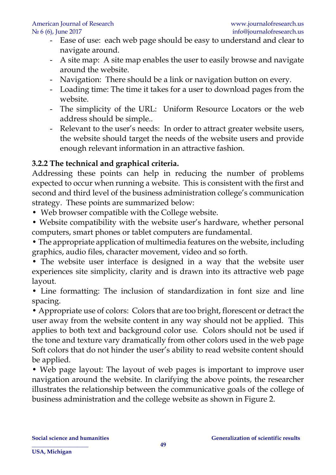- Ease of use: each web page should be easy to understand and clear to navigate around.
- A site map: A site map enables the user to easily browse and navigate around the website.
- Navigation: There should be a link or navigation button on every.
- Loading time: The time it takes for a user to download pages from the website.
- The simplicity of the URL: Uniform Resource Locators or the web address should be simple..
- Relevant to the user's needs: In order to attract greater website users, the website should target the needs of the website users and provide enough relevant information in an attractive fashion.

# **3.2.2 The technical and graphical criteria.**

Addressing these points can help in reducing the number of problems expected to occur when running a website. This is consistent with the first and second and third level of the business administration college's communication strategy. These points are summarized below:

• Web browser compatible with the College website.

• Website compatibility with the website user's hardware, whether personal computers, smart phones or tablet computers are fundamental.

• The appropriate application of multimedia features on the website, including graphics, audio files, character movement, video and so forth.

• The website user interface is designed in a way that the website user experiences site simplicity, clarity and is drawn into its attractive web page layout.

• Line formatting: The inclusion of standardization in font size and line spacing.

• Appropriate use of colors: Colors that are too bright, florescent or detract the user away from the website content in any way should not be applied. This applies to both text and background color use. Colors should not be used if the tone and texture vary dramatically from other colors used in the web page Soft colors that do not hinder the user's ability to read website content should be applied.

• Web page layout: The layout of web pages is important to improve user navigation around the website. In clarifying the above points, the researcher illustrates the relationship between the communicative goals of the college of business administration and the college website as shown in Figure 2.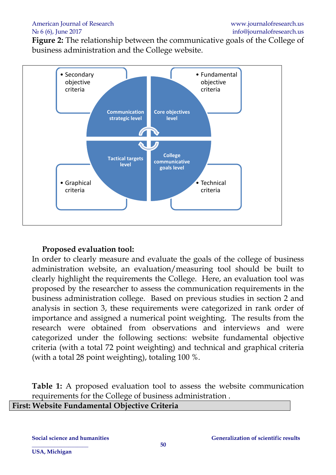**Figure 2:** The relationship between the communicative goals of the College of business administration and the College website.



#### **Proposed evaluation tool:**

In order to clearly measure and evaluate the goals of the college of business administration website, an evaluation/measuring tool should be built to clearly highlight the requirements the College. Here, an evaluation tool was proposed by the researcher to assess the communication requirements in the business administration college. Based on previous studies in section 2 and analysis in section 3, these requirements were categorized in rank order of importance and assigned a numerical point weighting. The results from the research were obtained from observations and interviews and were categorized under the following sections: website fundamental objective criteria (with a total 72 point weighting) and technical and graphical criteria (with a total 28 point weighting), totaling 100 %.

**Table 1:** A proposed evaluation tool to assess the website communication requirements for the College of business administration .

# **First: Website Fundamental Objective Criteria**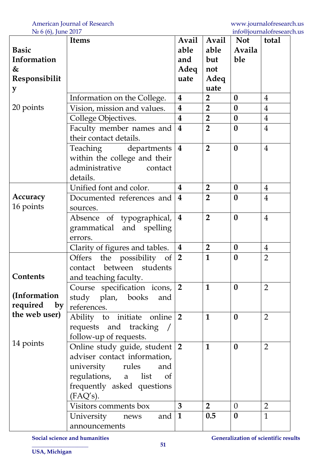| $1 \leq 0$ (0), juin 2017<br><b>Items</b> |                                                                                 | Avail                   | Avail          | <b>Not</b>       | mnosfournamentorum<br>total |
|-------------------------------------------|---------------------------------------------------------------------------------|-------------------------|----------------|------------------|-----------------------------|
| <b>Basic</b>                              |                                                                                 |                         |                | Availa           |                             |
| Information                               |                                                                                 | able<br>and             | able<br>but    | ble              |                             |
| &                                         |                                                                                 | Adeq                    | not            |                  |                             |
| Responsibilit                             |                                                                                 | uate                    | Adeq           |                  |                             |
| y                                         |                                                                                 |                         | uate           |                  |                             |
|                                           | Information on the College.                                                     | $\boldsymbol{4}$        | $\overline{2}$ | $\bf{0}$         | $\overline{4}$              |
| 20 points                                 | Vision, mission and values.                                                     | $\overline{\mathbf{4}}$ | $\overline{2}$ | $\bf{0}$         | $\overline{4}$              |
|                                           |                                                                                 | $\overline{\mathbf{4}}$ | $\overline{2}$ | $\boldsymbol{0}$ | $\overline{4}$              |
|                                           | College Objectives.                                                             | $\overline{\mathbf{4}}$ | $\overline{2}$ | $\bf{0}$         | $\overline{4}$              |
|                                           | Faculty member names and                                                        |                         |                |                  |                             |
|                                           | their contact details.                                                          |                         |                |                  |                             |
|                                           | Teaching departments   4                                                        |                         | $\overline{2}$ | $\boldsymbol{0}$ | $\overline{4}$              |
|                                           | within the college and their                                                    |                         |                |                  |                             |
|                                           | administrative<br>contact                                                       |                         |                |                  |                             |
|                                           | details.                                                                        |                         |                |                  |                             |
|                                           | Unified font and color.                                                         | 4                       | $\overline{2}$ | $\boldsymbol{0}$ | $\overline{4}$              |
| Accuracy                                  | Documented references and                                                       | $\overline{\mathbf{4}}$ | $\overline{2}$ | $\boldsymbol{0}$ | $\overline{4}$              |
| 16 points                                 | sources.                                                                        |                         |                |                  |                             |
|                                           | Absence of typographical,                                                       | $\boldsymbol{4}$        | $\overline{2}$ | $\boldsymbol{0}$ | $\overline{4}$              |
|                                           | grammatical and spelling                                                        |                         |                |                  |                             |
|                                           | errors.                                                                         |                         |                |                  |                             |
|                                           | Clarity of figures and tables.                                                  | $\overline{\mathbf{4}}$ | $\overline{2}$ | $\boldsymbol{0}$ | $\overline{4}$              |
|                                           | Offers the possibility of $ 2 $                                                 |                         | $\mathbf{1}$   | $\bf{0}$         | $\overline{2}$              |
|                                           | contact between students                                                        |                         |                |                  |                             |
| Contents                                  | and teaching faculty.                                                           |                         |                |                  |                             |
|                                           | Course specification icons, 2                                                   |                         | $\mathbf{1}$   | $\bf{0}$         | $\overline{2}$              |
| (Information                              | study plan, books<br>and                                                        |                         |                |                  |                             |
| required<br>by                            | references.                                                                     |                         |                |                  |                             |
| the web user)                             | Ability to initiate online $ 2 $                                                |                         | $\mathbf{1}$   | $\bf{0}$         | $\overline{2}$              |
|                                           | requests and tracking /                                                         |                         |                |                  |                             |
|                                           | follow-up of requests.                                                          |                         |                |                  |                             |
| 14 points                                 |                                                                                 |                         | $\mathbf{1}$   | $\bf{0}$         | $\overline{2}$              |
|                                           | Online study guide, student 2                                                   |                         |                |                  |                             |
|                                           | adviser contact information,                                                    |                         |                |                  |                             |
|                                           | university rules<br>and<br>regulations, a list of<br>frequently asked questions |                         |                |                  |                             |
|                                           |                                                                                 |                         |                |                  |                             |
|                                           |                                                                                 |                         |                |                  |                             |
|                                           | (FAQ's).                                                                        |                         |                |                  |                             |
|                                           | Visitors comments box                                                           | $\mathbf{3}$            | 2 <sub>1</sub> | $\overline{0}$   | $\overline{2}$              |
|                                           | and $ 1$<br>University news                                                     |                         | 0.5            | $\boldsymbol{0}$ | $\overline{1}$              |
|                                           | announcements                                                                   |                         |                |                  |                             |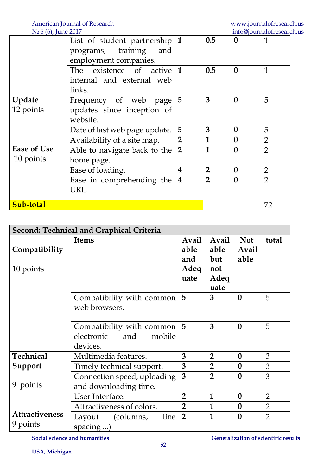| $1 - 0$ (0)) juint $20$ | List of student partnership $ 1$ |                         | 0.5            | $\text{me}\sim\text{per}_{\text{m}}$<br>$\boldsymbol{0}$ | $\mathbf{1}$   |
|-------------------------|----------------------------------|-------------------------|----------------|----------------------------------------------------------|----------------|
|                         | programs, training<br>and        |                         |                |                                                          |                |
|                         | employment companies.            |                         |                |                                                          |                |
|                         | The existence of active $1$      |                         | 0.5            | $\bf{0}$                                                 | $\mathbf{1}$   |
|                         | internal and external web        |                         |                |                                                          |                |
|                         | links.                           |                         |                |                                                          |                |
| Update                  | Frequency of web page $ 5 $      |                         | 3              | $\boldsymbol{0}$                                         | 5              |
| 12 points               | updates since inception of       |                         |                |                                                          |                |
|                         | website.                         |                         |                |                                                          |                |
|                         | Date of last web page update.    | 5                       | 3              | $\boldsymbol{0}$                                         | 5              |
|                         | Availability of a site map.      | $\overline{2}$          | $\mathbf{1}$   | $\boldsymbol{0}$                                         | $\overline{2}$ |
| <b>Ease of Use</b>      | Able to navigate back to the     | $\overline{2}$          | $\mathbf{1}$   | $\bf{0}$                                                 | $\overline{2}$ |
| 10 points               | home page.                       |                         |                |                                                          |                |
|                         | Ease of loading.                 | $\overline{\mathbf{4}}$ | $\overline{2}$ | $\boldsymbol{0}$                                         | $\overline{2}$ |
|                         | Ease in comprehending the $ 4 $  |                         | $\overline{2}$ | $\bf{0}$                                                 | $\overline{2}$ |
|                         | URL.                             |                         |                |                                                          |                |
| Sub-total               |                                  |                         |                |                                                          | 72             |

| Second: Technical and Graphical Criteria |                             |                     |                |                     |                |
|------------------------------------------|-----------------------------|---------------------|----------------|---------------------|----------------|
| Compatibility                            | <b>Items</b>                | Avail<br>able       | Avail<br>able  | <b>Not</b><br>Avail | total          |
|                                          |                             | and                 | but            | able                |                |
| 10 points                                |                             | Adeq                | not            |                     |                |
|                                          |                             | uate                | Adeq           |                     |                |
|                                          |                             |                     | uate           |                     |                |
|                                          | Compatibility with common   | 5                   | 3              | $\boldsymbol{0}$    | 5              |
|                                          | web browsers.               |                     |                |                     |                |
|                                          |                             |                     |                |                     |                |
|                                          | Compatibility with common   | 5                   | 3              | $\bf{0}$            | 5              |
|                                          | electronic<br>and<br>mobile |                     |                |                     |                |
|                                          | devices.                    |                     |                |                     |                |
| <b>Technical</b>                         | Multimedia features.        | 3<br>$\overline{2}$ |                |                     |                |
| Support                                  | Timely technical support.   |                     |                | $\bf{0}$            | 3              |
|                                          | Connection speed, uploading | 3                   | $\overline{2}$ | $\boldsymbol{0}$    | 3              |
| 9 points                                 | and downloading time.       |                     |                |                     |                |
|                                          | User Interface.             | $\overline{2}$      | 1              | $\boldsymbol{0}$    | $\overline{2}$ |
|                                          | Attractiveness of colors.   | $\overline{2}$      | $\mathbf{1}$   | $\boldsymbol{0}$    | $\overline{2}$ |
| <b>Attractiveness</b>                    | line<br>(columns,<br>Layout | $\overline{2}$      | $\mathbf{1}$   | $\bf{0}$            | $\overline{2}$ |
| 9 points                                 | spacing )                   |                     |                |                     |                |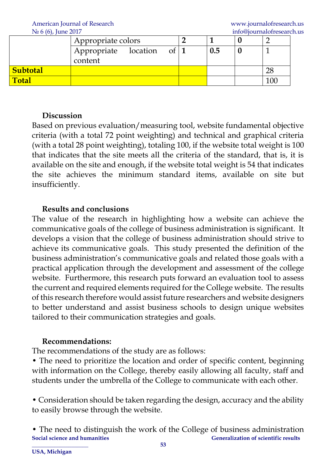American Journal of Research [www.journalofresearch.us](http://www.journalofresearch.us/)

| $1$ $\frac{1}{2}$ $0$ $\left\{ \frac{1}{2} \right\}$ $\left\{ \frac{1}{2} \right\}$<br>mnosjoumannicscan |                                 |  |              |     |  |     |
|----------------------------------------------------------------------------------------------------------|---------------------------------|--|--------------|-----|--|-----|
|                                                                                                          | Appropriate colors              |  |              |     |  |     |
|                                                                                                          | Appropriate location<br>content |  | of $\vert$ 1 | 0.5 |  |     |
| <b>Subtotal</b>                                                                                          |                                 |  |              |     |  | 28  |
| <b>Total</b>                                                                                             |                                 |  |              |     |  | 100 |

#### **Discussion**

Based on previous evaluation/measuring tool, website fundamental objective criteria (with a total 72 point weighting) and technical and graphical criteria (with a total 28 point weighting), totaling 100, if the website total weight is 100 that indicates that the site meets all the criteria of the standard, that is, it is available on the site and enough, if the website total weight is 54 that indicates the site achieves the minimum standard items, available on site but insufficiently.

#### **Results and conclusions**

The value of the research in highlighting how a website can achieve the communicative goals of the college of business administration is significant. It develops a vision that the college of business administration should strive to achieve its communicative goals. This study presented the definition of the business administration's communicative goals and related those goals with a practical application through the development and assessment of the college website. Furthermore, this research puts forward an evaluation tool to assess the current and required elements required for the College website. The results of this research therefore would assist future researchers and website designers to better understand and assist business schools to design unique websites tailored to their communication strategies and goals.

#### **Recommendations:**

The recommendations of the study are as follows:

• The need to prioritize the location and order of specific content, beginning with information on the College, thereby easily allowing all faculty, staff and students under the umbrella of the College to communicate with each other.

• Consideration should be taken regarding the design, accuracy and the ability to easily browse through the website.

**Social science and humanities Generalization of scientific results** • The need to distinguish the work of the College of business administration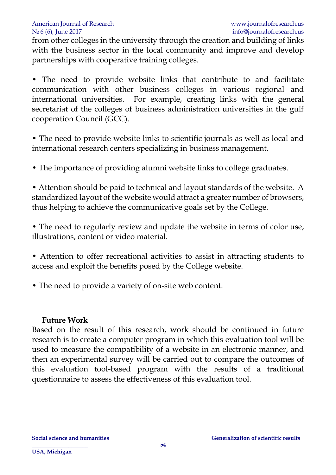#### American Journal of Research [www.journalofresearch.us](http://www.journalofresearch.us/) No 6 (6), June 2017 info@journalofresearch.us

from other colleges in the university through the creation and building of links with the business sector in the local community and improve and develop partnerships with cooperative training colleges.

• The need to provide website links that contribute to and facilitate communication with other business colleges in various regional and international universities. For example, creating links with the general secretariat of the colleges of business administration universities in the gulf cooperation Council (GCC).

• The need to provide website links to scientific journals as well as local and international research centers specializing in business management.

• The importance of providing alumni website links to college graduates.

• Attention should be paid to technical and layout standards of the website. A standardized layout of the website would attract a greater number of browsers, thus helping to achieve the communicative goals set by the College.

• The need to regularly review and update the website in terms of color use, illustrations, content or video material.

• Attention to offer recreational activities to assist in attracting students to access and exploit the benefits posed by the College website.

• The need to provide a variety of on-site web content.

#### **Future Work**

Based on the result of this research, work should be continued in future research is to create a computer program in which this evaluation tool will be used to measure the compatibility of a website in an electronic manner, and then an experimental survey will be carried out to compare the outcomes of this evaluation tool-based program with the results of a traditional questionnaire to assess the effectiveness of this evaluation tool.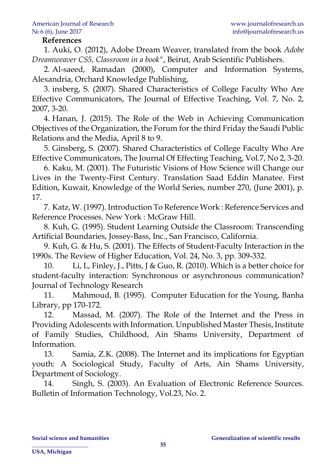#### **References**

1. Auki, O. (2012), Adobe Dream Weaver, translated from the book *Adobe Dreamweaver CS5, Classroom in a book"*, Beirut, Arab Scientific Publishers.

2. Al-saeed, Ramadan (2000), Computer and Information Systems, Alexandria, Orchard Knowledge Publishing,

3. insberg, S. (2007). Shared Characteristics of College Faculty Who Are Effective Communicators, The Journal of Effective Teaching, Vol. 7, No. 2, 2007, 3-20.

4. Hanan, J. (2015). The Role of the Web in Achieving Communication Objectives of the Organization, the Forum for the third Friday the Saudi Public Relations and the Media, April 8 to 9.

5. Ginsberg, S. (2007). Shared Characteristics of College Faculty Who Are Effective Communicators, The Journal Of Effecting Teaching, Vol.7, No 2, 3-20.

6. Kaku, M. (2001). The Futuristic Visions of How Science will Change our Lives in the Twenty-First Century. Translation Saad Eddin Manatee. First Edition, Kuwait, Knowledge of the World Series, number 270, (June 2001), p. 17.

7. Katz, W. (1997). Introduction To Reference Work : Reference Services and Reference Processes. New York : McGraw Hill.

8. Kuh, G. (1995). Student Learning Outside the Classroom: Transcending Artificial Boundaries, Jossey-Bass, Inc., San Francisco, California.

9. Kuh, G. & Hu, S. (2001). The Effects of Student-Faculty Interaction in the 1990s. The Review of Higher Education, Vol. 24, No. 3, pp. 309-332.

10. Li, L, Finley, J., Pitts, J & Guo, R. (2010). Which is a better choice for student-faculty interaction: Synchronous or asynchronous communication? Journal of Technology Research

11. Mahmoud, B. (1995). Computer Education for the Young, Banha Library, pp 170-172.

12. Massad, M. (2007). The Role of the Internet and the Press in Providing Adolescents with Information. Unpublished Master Thesis, Institute of Family Studies, Childhood, Ain Shams University, Department of Information.

13. Samia, Z.K. (2008). The Internet and its implications for Egyptian youth: A Sociological Study, Faculty of Arts, Ain Shams University, Department of Sociology.

14. Singh, S. (2003). An Evaluation of Electronic Reference Sources. Bulletin of Information Technology, Vol.23, No. 2.